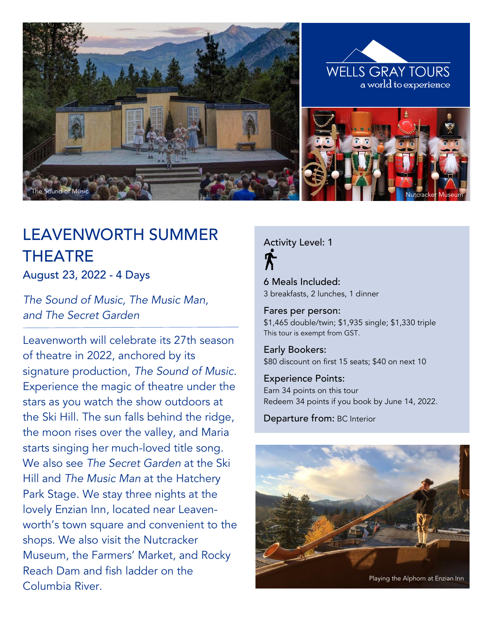

# LEAVENWORTH SUMMER THEATRE

August 23, 2022 - 4 Days

*The Sound of Music, The Music Man, and The Secret Garden*

Leavenworth will celebrate its 27th season of theatre in 2022, anchored by its signature production, *The Sound of Music*. Experience the magic of theatre under the stars as you watch the show outdoors at the Ski Hill. The sun falls behind the ridge, the moon rises over the valley, and Maria starts singing her much-loved title song. We also see *The Secret Garden* at the Ski Hill and *The Music Man* at the Hatchery Park Stage. We stay three nights at the lovely Enzian Inn, located near Leavenworth's town square and convenient to the shops. We also visit the Nutcracker Museum, the Farmers' Market, and Rocky Reach Dam and fish ladder on the Columbia River.

Activity Level: 1

6 Meals Included: 3 breakfasts, 2 lunches, 1 dinner

Fares per person: \$1,465 double/twin; \$1,935 single; \$1,330 triple This tour is exempt from GST.

Early Bookers: \$80 discount on first 15 seats; \$40 on next 10

Experience Points: Earn 34 points on this tour Redeem 34 points if you book by June 14, 2022.

Departure from: BC Interior

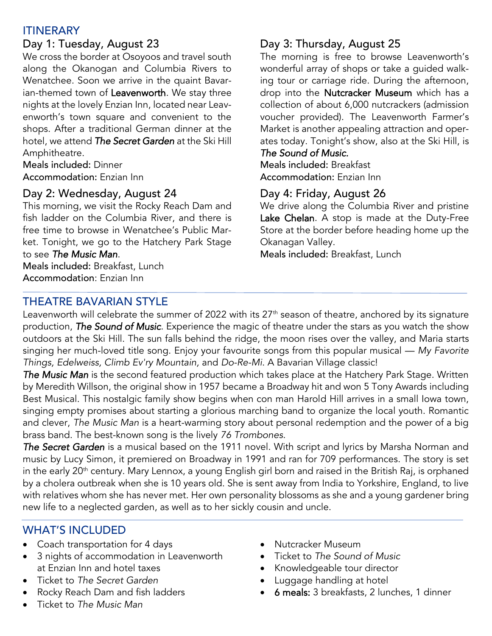## ITINERARY

## Day 1: Tuesday, August 23

We cross the border at Osoyoos and travel south along the Okanogan and Columbia Rivers to Wenatchee. Soon we arrive in the quaint Bavarian-themed town of Leavenworth. We stay three nights at the lovely Enzian Inn, located near Leavenworth's town square and convenient to the shops. After a traditional German dinner at the hotel, we attend *The Secret Garden* at the Ski Hill Amphitheatre.

Meals included: Dinner Accommodation: Enzian Inn

## Day 2: Wednesday, August 24

This morning, we visit the Rocky Reach Dam and fish ladder on the Columbia River, and there is free time to browse in Wenatchee's Public Market. Tonight, we go to the Hatchery Park Stage to see *The Music Man*. Meals included: Breakfast, Lunch Accommodation: Enzian Inn

## Day 3: Thursday, August 25

The morning is free to browse Leavenworth's wonderful array of shops or take a guided walking tour or carriage ride. During the afternoon, drop into the Nutcracker Museum which has a collection of about 6,000 nutcrackers (admission voucher provided). The Leavenworth Farmer's Market is another appealing attraction and operates today. Tonight's show, also at the Ski Hill, is

## *The Sound of Music.*

Meals included: Breakfast Accommodation: Enzian Inn

## Day 4: Friday, August 26

We drive along the Columbia River and pristine Lake Chelan. A stop is made at the Duty-Free Store at the border before heading home up the Okanagan Valley.

Meals included: Breakfast, Lunch

## THEATRE BAVARIAN STYLE

Leavenworth will celebrate the summer of 2022 with its 27 th season of theatre, anchored by its signature production, *The Sound of Music*. Experience the magic of theatre under the stars as you watch the show outdoors at the Ski Hill. The sun falls behind the ridge, the moon rises over the valley, and Maria starts singing her much-loved title song. Enjoy your favourite songs from this popular musical — *My Favorite Things, Edelweiss, Climb Ev'ry Mountain,* and *Do-Re-Mi*. A Bavarian Village classic!

*The Music Man* is the second featured production which takes place at the Hatchery Park Stage. Written by Meredith Willson, the original show in 1957 became a Broadway hit and won 5 Tony Awards including Best Musical. This nostalgic family show begins when con man Harold Hill arrives in a small Iowa town, singing empty promises about starting a glorious marching band to organize the local youth. Romantic and clever, *The Music Man* is a heart-warming story about personal redemption and the power of a big brass band. The best-known song is the lively *76 Trombones*.

*The Secret Garden* is a musical based on the 1911 novel. With script and lyrics by Marsha Norman and music by Lucy Simon, it premiered on Broadway in 1991 and ran for 709 performances. The story is set in the early 20<sup>th</sup> century. Mary Lennox, a young English girl born and raised in the British Raj, is orphaned by a cholera outbreak when she is 10 years old. She is sent away from India to Yorkshire, England, to live with relatives whom she has never met. Her own personality blossoms as she and a young gardener bring new life to a neglected garden, as well as to her sickly cousin and uncle.

## WHAT'S INCLUDED

- Coach transportation for 4 days
- 3 nights of accommodation in Leavenworth at Enzian Inn and hotel taxes
- Ticket to *The Secret Garden*
- Rocky Reach Dam and fish ladders
- Ticket to *The Music Man*
- Nutcracker Museum
- Ticket to *The Sound of Music*
- Knowledgeable tour director
- Luggage handling at hotel
- 6 meals: 3 breakfasts, 2 lunches, 1 dinner